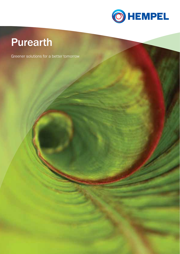

## Purearth

Greener solutions for a better tomorrow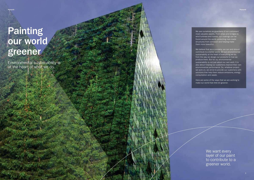# Painting our world greener

Environmental sustainability is at the heart of what we do.

We want every layer of our paint to contribute to a greener world.

We see ourselves as guardians of our customers' most valuable assets. From ships and bridges to wind turbines and homes, our coatings can be found around the world, protecting man-made structures from corrosion and helping make them more beautiful.

We believe that as a company, we can and should contribute to a better world. We put environmental sustainability at the heart of everything we do, from the way we design our products to how we produce them. But for us, environmental sustainability is not just about our own work. It is also about helping our customers improve their own environmental performance. So, whatever project we work on, we strive to provide our customers with solutions that help them reduce emissions, energy consumption and waste.

Here are some of the ways that we are working to make our world that little bit greener.

2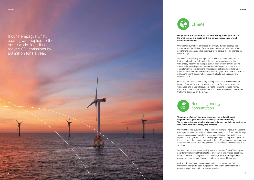### Our products are, by nature, sustainable as they prolong the service life of structures and equipment, and so help reduce their overall

environmental impact.

Over the years, we have developed many highly durable coatings that further extend the lifetime of the surfaces they protect and reduce the need for maintenance and re-coating. But we believe that a prolonged life

is not enough.

We focus on developing coatings that help both our customers reduce their impact on the climate and make good business sense. In the wind energy industry, for example, our two-coat system for wind turbine towers reduces drying times by approximately 30 per cent compared to equivalent three- coat solutions. This reduces bottlenecks to help wind tower manufacturers increase production throughput. But more importantly, it also cuts energy consumption in drying halls, lowers emissions and

reduces waste.



Of course, we are also continually working to reduce the environmental impact of our own operations. At our production facilities, for example, we salvage and re-use all recyclable waste, including chemical waste. If waste is not recyclable, we dispose of it in a socially responsible manner that limits its impact on the climate.

#### The amount of energy the world consumes has a direct impact on greenhouse gas emissions, especially carbon dioxide (CO<sub>2</sub>). We concentrate on developing advanced solutions that help our customers reduce the amount of energy they consume.

Our fouling control systems for ships' hulls, for example, improve the vessel's hydrodynamics and can reduce fuel consumption by up to 8 per cent. As large vessels can consume many tons of fuel a day, this can have a significant impact on its CO<sub>2</sub> emissions. If our Hempaguard hull coating was applied to the entire world fleet, it could reduce the fleet's CO<sub>2</sub> emissions by as much as 80 million tons a year. That's roughly equivalent to the yearly emissions of a

small nation.

We also produce energy-conserving products, such as Contex Thermoguard, an exterior wall coating that reflects solar energy in the infrared spectrum. When painted on buildings in the Middle East, Contex Thermoguard has proven to reduce air conditioning costs by an average of 5 per cent.

And, in order to reduce energy consumption from our own operations, we monitor energy use at all our production units and take measures to reduce energy consumption whenever possible.

## Reducing energy consumption

If our Hempaguard ® hull coating was applied to the entire world fleet, it could reduce CO 2 emissions by 80 million tons a year.



## **Climate**

4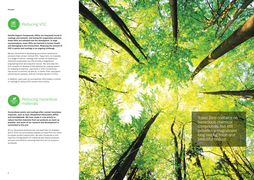Volatile Organic Compounds (VOCs) are frequently found in coatings and solvents, and during the evaporation process, these VOCs are released into the atmosphere. In large concentrations, some VOCs are harmful to human health and damaging to the environment. Reducing the amount of VOC in paints and coatings is an ongoing challenge.

We are committed to developing low-solvent waterborne products that contain minimal VOC. Topaz Zero, for example, is a range of interior coatings that contain no hazardous chemical compounds, but still provide a magnificent long-lasting finish and beautiful texture. We were also the first company to develop a fully waterborne coating system for shipping containers. Launched in 2010, Ecoboxcoat has proven to perform as well as, or better than, equivalent solvent-borne systems, and yet contains almost no VOCs.

In addition, each year we successfully reformulate a number of coatings to reduce VOC content even further.



Conventional paints and coatings often contain hazardous materials, such as lead, Alkylphenol Ethoxylates (APEs) and formaldehyde. We have made it a top priority to reduce harmful materials from our products as much as possible, and much of our research and development is committed to this end.

All our Decorative products are now lead-free, for example, and in 2015 we successfully phased out lead from our entire European product assortment. We also introduced a new lead-free tinting system for industrial and marine products and are committed to removing lead from all our products worldwide.



### Reducing hazardous materials

Topaz Zero contains no hazardous chemical compounds, but still provides a magnificent long-lasting finish and beautiful texture.

7

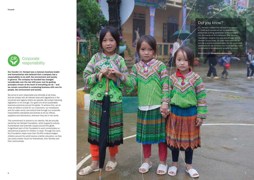Our founder J.C. Hempel was a visionary business leader and humanitarian who believed that a company has a responsibility to its staff, the environment and society in general. The company he founded has changed considerably over the last 100 years, but his guiding principles remain at the heart of everything we do – and we remain committed to conducting business with care for people, the environment and society.

We strive to work responsibly and ethically at all times, and we comply with all relevant laws and regulations in the countries and regions where we operate. But simply following legislation is not enough. Our goal is to drive sustainable business practices around the globe. To achieve this, we do what we believe is best for our customers, our employees and the wider world, and extend that through our corporate responsibility standards and policies to all our offices, suppliers and distributors, wherever they are in the world.

This commitment is central to our identity. We are proudly owned by the Hempel Foundation, which supports cultural, humanitarian and scientific causes around the globe. A significant part of the Foundation's work concentrates on educational projects for children in need. Through this work, the Foundation helps more than 55,000 underprivileged children around the world receive a better education, so they can build a better future for themselves, their families and their communities.



J.C. Hempel created the Hempel Foundation in 1948 and transferred all his shares to it, essentially putting ownership of the company into the hands of its employees. The Hempel Foundation remains the sole shareholder of the Hempel Group today. Its main objectives are to provide a sound economic base for the continued operations of our company and to ensure our work contributes to development around the world.

Read more at hempelfoundation.com



## Did you know?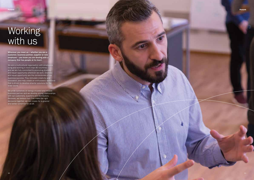## **Working** with us

Wherever you meet us – whether you are a customer, business partner, supplier or new employee – you know you are dealing with a company that has people at its heart.

We are a multicultural organisation with employees living and working in more than 80 countries – and we are fully committed to promoting diversity and equal opportunity wherever we work. Diversity and equal opportunity are the cornerstones of our business success. They stimulate creativity and innovation, and help create an enthusiastic workforce that is driven to develop smarter solutions for the wider world.

We pride ourselves on being a trusted and reliable business partner and we develop strong relationships with our customers, suppliers and distributors. Because, we believe that if we make the right decisions together, we can create for a greener and better tomorrow for us all.